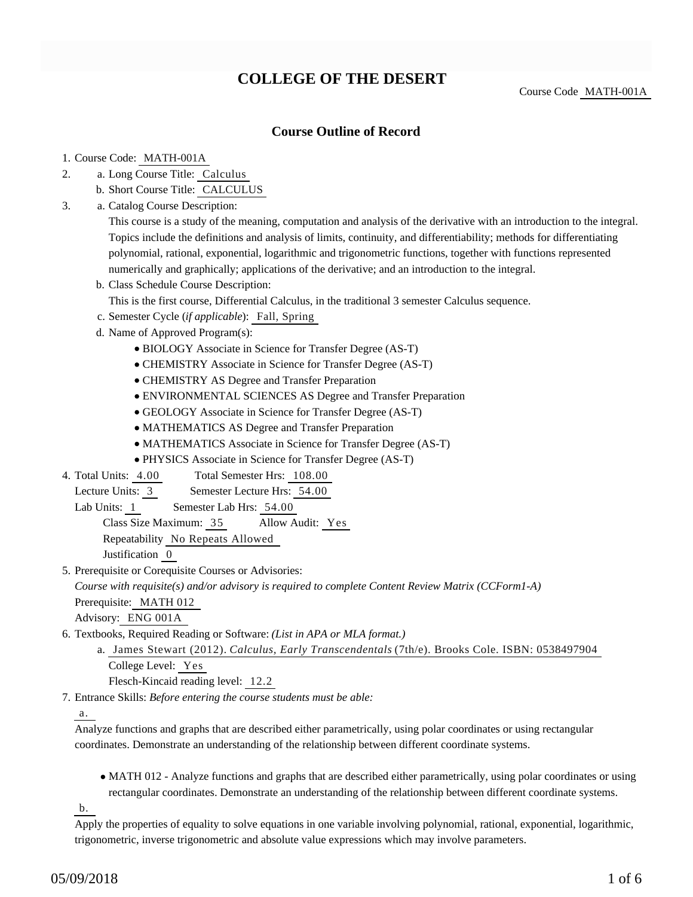# **COLLEGE OF THE DESERT**

Course Code MATH-001A

## **Course Outline of Record**

- 1. Course Code: MATH-001A
- a. Long Course Title: Calculus 2.
	- b. Short Course Title: CALCULUS
- Catalog Course Description: a. 3.

This course is a study of the meaning, computation and analysis of the derivative with an introduction to the integral. Topics include the definitions and analysis of limits, continuity, and differentiability; methods for differentiating polynomial, rational, exponential, logarithmic and trigonometric functions, together with functions represented numerically and graphically; applications of the derivative; and an introduction to the integral.

b. Class Schedule Course Description:

This is the first course, Differential Calculus, in the traditional 3 semester Calculus sequence.

- c. Semester Cycle (*if applicable*): Fall, Spring
- d. Name of Approved Program(s):
	- BIOLOGY Associate in Science for Transfer Degree (AS-T)
	- CHEMISTRY Associate in Science for Transfer Degree (AS-T)
	- CHEMISTRY AS Degree and Transfer Preparation
	- ENVIRONMENTAL SCIENCES AS Degree and Transfer Preparation
	- GEOLOGY Associate in Science for Transfer Degree (AS-T)
	- MATHEMATICS AS Degree and Transfer Preparation
	- MATHEMATICS Associate in Science for Transfer Degree (AS-T)
	- PHYSICS Associate in Science for Transfer Degree (AS-T)
- Total Semester Hrs: 108.00 4. Total Units: 4.00

Lecture Units: 3 Semester Lecture Hrs: 54.00

Lab Units: 1 Semester Lab Hrs: 54.00

Class Size Maximum: 35 Allow Audit: Yes

Repeatability No Repeats Allowed

Justification 0

5. Prerequisite or Corequisite Courses or Advisories:

*Course with requisite(s) and/or advisory is required to complete Content Review Matrix (CCForm1-A)*

Prerequisite: MATH 012

Advisory: ENG 001A

6. Textbooks, Required Reading or Software: (List in APA or MLA format.)

a. James Stewart (2012). Calculus, Early Transcendentals (7th/e). Brooks Cole. ISBN: 0538497904 College Level: Yes

Flesch-Kincaid reading level: 12.2

Entrance Skills: *Before entering the course students must be able:* 7.

### a.

Analyze functions and graphs that are described either parametrically, using polar coordinates or using rectangular coordinates. Demonstrate an understanding of the relationship between different coordinate systems.

MATH 012 - Analyze functions and graphs that are described either parametrically, using polar coordinates or using rectangular coordinates. Demonstrate an understanding of the relationship between different coordinate systems.

b.

Apply the properties of equality to solve equations in one variable involving polynomial, rational, exponential, logarithmic, trigonometric, inverse trigonometric and absolute value expressions which may involve parameters.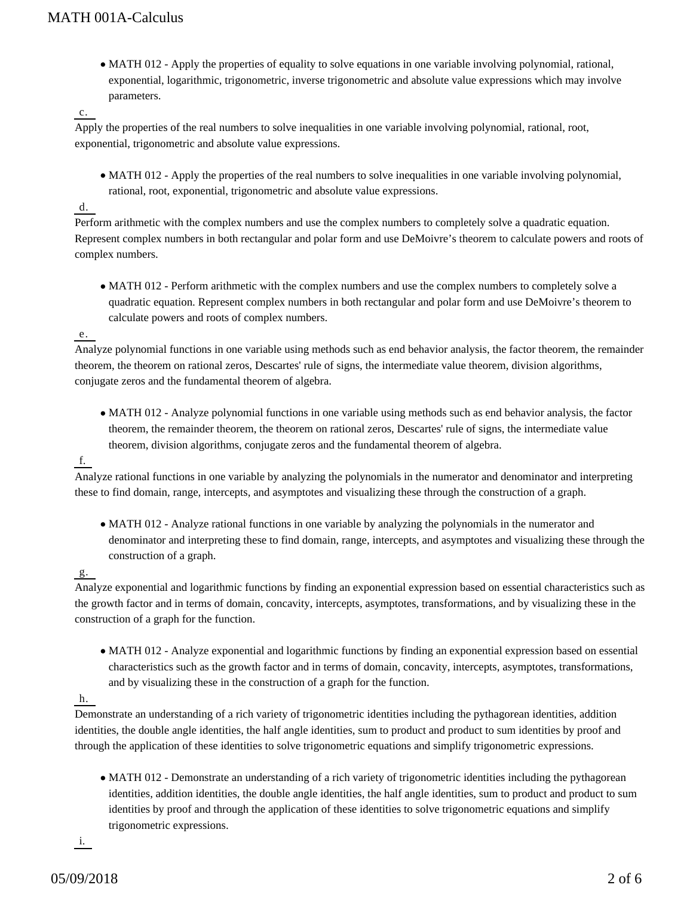MATH 012 - Apply the properties of equality to solve equations in one variable involving polynomial, rational, exponential, logarithmic, trigonometric, inverse trigonometric and absolute value expressions which may involve parameters.

## c.

Apply the properties of the real numbers to solve inequalities in one variable involving polynomial, rational, root, exponential, trigonometric and absolute value expressions.

MATH 012 - Apply the properties of the real numbers to solve inequalities in one variable involving polynomial, rational, root, exponential, trigonometric and absolute value expressions.

## d.

Perform arithmetic with the complex numbers and use the complex numbers to completely solve a quadratic equation. Represent complex numbers in both rectangular and polar form and use DeMoivre's theorem to calculate powers and roots of complex numbers.

MATH 012 - Perform arithmetic with the complex numbers and use the complex numbers to completely solve a quadratic equation. Represent complex numbers in both rectangular and polar form and use DeMoivre's theorem to calculate powers and roots of complex numbers.

e.

Analyze polynomial functions in one variable using methods such as end behavior analysis, the factor theorem, the remainder theorem, the theorem on rational zeros, Descartes' rule of signs, the intermediate value theorem, division algorithms, conjugate zeros and the fundamental theorem of algebra.

MATH 012 - Analyze polynomial functions in one variable using methods such as end behavior analysis, the factor theorem, the remainder theorem, the theorem on rational zeros, Descartes' rule of signs, the intermediate value theorem, division algorithms, conjugate zeros and the fundamental theorem of algebra.

#### f.

Analyze rational functions in one variable by analyzing the polynomials in the numerator and denominator and interpreting these to find domain, range, intercepts, and asymptotes and visualizing these through the construction of a graph.

MATH 012 - Analyze rational functions in one variable by analyzing the polynomials in the numerator and denominator and interpreting these to find domain, range, intercepts, and asymptotes and visualizing these through the construction of a graph.

#### g.

Analyze exponential and logarithmic functions by finding an exponential expression based on essential characteristics such as the growth factor and in terms of domain, concavity, intercepts, asymptotes, transformations, and by visualizing these in the construction of a graph for the function.

MATH 012 - Analyze exponential and logarithmic functions by finding an exponential expression based on essential characteristics such as the growth factor and in terms of domain, concavity, intercepts, asymptotes, transformations, and by visualizing these in the construction of a graph for the function.

### h.

Demonstrate an understanding of a rich variety of trigonometric identities including the pythagorean identities, addition identities, the double angle identities, the half angle identities, sum to product and product to sum identities by proof and through the application of these identities to solve trigonometric equations and simplify trigonometric expressions.

MATH 012 - Demonstrate an understanding of a rich variety of trigonometric identities including the pythagorean identities, addition identities, the double angle identities, the half angle identities, sum to product and product to sum identities by proof and through the application of these identities to solve trigonometric equations and simplify trigonometric expressions.

i.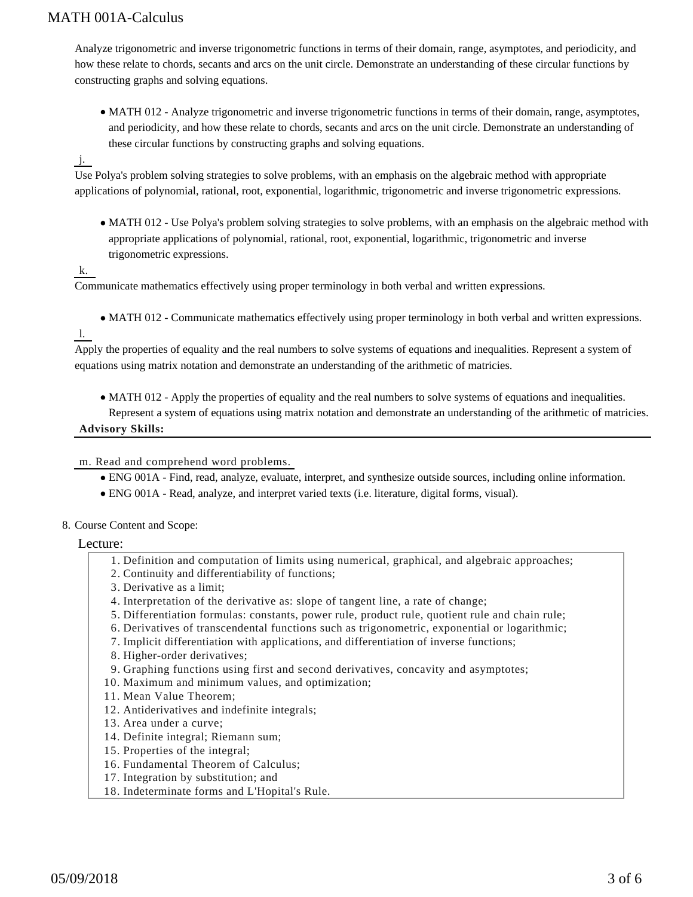Analyze trigonometric and inverse trigonometric functions in terms of their domain, range, asymptotes, and periodicity, and how these relate to chords, secants and arcs on the unit circle. Demonstrate an understanding of these circular functions by constructing graphs and solving equations.

MATH 012 - Analyze trigonometric and inverse trigonometric functions in terms of their domain, range, asymptotes, and periodicity, and how these relate to chords, secants and arcs on the unit circle. Demonstrate an understanding of these circular functions by constructing graphs and solving equations.

### j.

Use Polya's problem solving strategies to solve problems, with an emphasis on the algebraic method with appropriate applications of polynomial, rational, root, exponential, logarithmic, trigonometric and inverse trigonometric expressions.

MATH 012 - Use Polya's problem solving strategies to solve problems, with an emphasis on the algebraic method with appropriate applications of polynomial, rational, root, exponential, logarithmic, trigonometric and inverse trigonometric expressions.

#### k.

l.

Communicate mathematics effectively using proper terminology in both verbal and written expressions.

MATH 012 - Communicate mathematics effectively using proper terminology in both verbal and written expressions.

Apply the properties of equality and the real numbers to solve systems of equations and inequalities. Represent a system of equations using matrix notation and demonstrate an understanding of the arithmetic of matricies.

MATH 012 - Apply the properties of equality and the real numbers to solve systems of equations and inequalities.

Represent a system of equations using matrix notation and demonstrate an understanding of the arithmetic of matricies. **Advisory Skills:**

m. Read and comprehend word problems.

- ENG 001A Find, read, analyze, evaluate, interpret, and synthesize outside sources, including online information.
- ENG 001A Read, analyze, and interpret varied texts (i.e. literature, digital forms, visual).
- 8. Course Content and Scope:

#### Lecture:

- 1. Definition and computation of limits using numerical, graphical, and algebraic approaches;
- 2. Continuity and differentiability of functions;
- 3. Derivative as a limit;
- 4. Interpretation of the derivative as: slope of tangent line, a rate of change;
- 5. Differentiation formulas: constants, power rule, product rule, quotient rule and chain rule;
- 6. Derivatives of transcendental functions such as trigonometric, exponential or logarithmic;
- 7. Implicit differentiation with applications, and differentiation of inverse functions;
- 8. Higher-order derivatives;
- 9. Graphing functions using first and second derivatives, concavity and asymptotes;
- 10. Maximum and minimum values, and optimization;
- 11. Mean Value Theorem;
- 12. Antiderivatives and indefinite integrals;
- 13. Area under a curve;
- 14. Definite integral; Riemann sum;
- 15. Properties of the integral;
- 16. Fundamental Theorem of Calculus;
- 17. Integration by substitution; and
- 18. Indeterminate forms and L'Hopital's Rule.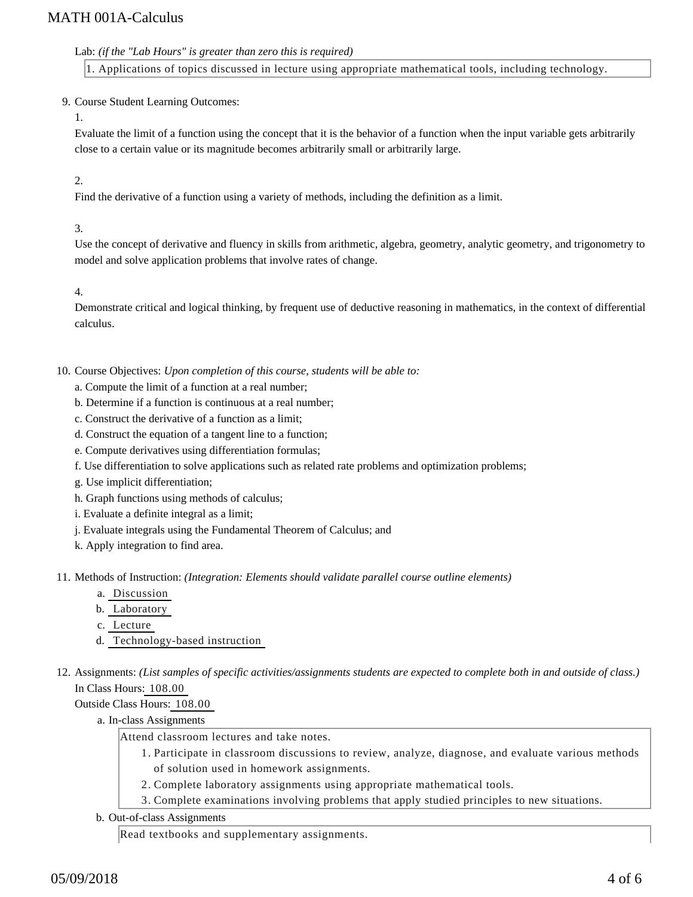#### Lab: *(if the "Lab Hours" is greater than zero this is required)*

1. Applications of topics discussed in lecture using appropriate mathematical tools, including technology.

#### 9. Course Student Learning Outcomes:

1.

Evaluate the limit of a function using the concept that it is the behavior of a function when the input variable gets arbitrarily close to a certain value or its magnitude becomes arbitrarily small or arbitrarily large.

### $\mathcal{L}$

Find the derivative of a function using a variety of methods, including the definition as a limit.

3.

Use the concept of derivative and fluency in skills from arithmetic, algebra, geometry, analytic geometry, and trigonometry to model and solve application problems that involve rates of change.

4.

Demonstrate critical and logical thinking, by frequent use of deductive reasoning in mathematics, in the context of differential calculus.

10. Course Objectives: Upon completion of this course, students will be able to:

- a. Compute the limit of a function at a real number;
- b. Determine if a function is continuous at a real number;
- c. Construct the derivative of a function as a limit;
- d. Construct the equation of a tangent line to a function;
- e. Compute derivatives using differentiation formulas;
- f. Use differentiation to solve applications such as related rate problems and optimization problems;
- g. Use implicit differentiation;
- h. Graph functions using methods of calculus;
- i. Evaluate a definite integral as a limit;
- j. Evaluate integrals using the Fundamental Theorem of Calculus; and
- k. Apply integration to find area.

11. Methods of Instruction: *(Integration: Elements should validate parallel course outline elements)* 

- a. Discussion
- b. Laboratory
- c. Lecture
- d. Technology-based instruction
- 12. Assignments: (List samples of specific activities/assignments students are expected to complete both in and outside of class.) In Class Hours: 108.00

Outside Class Hours: 108.00

a. In-class Assignments

Attend classroom lectures and take notes.

- 1. Participate in classroom discussions to review, analyze, diagnose, and evaluate various methods of solution used in homework assignments.
- 2. Complete laboratory assignments using appropriate mathematical tools.
- 3. Complete examinations involving problems that apply studied principles to new situations.
- b. Out-of-class Assignments

Read textbooks and supplementary assignments.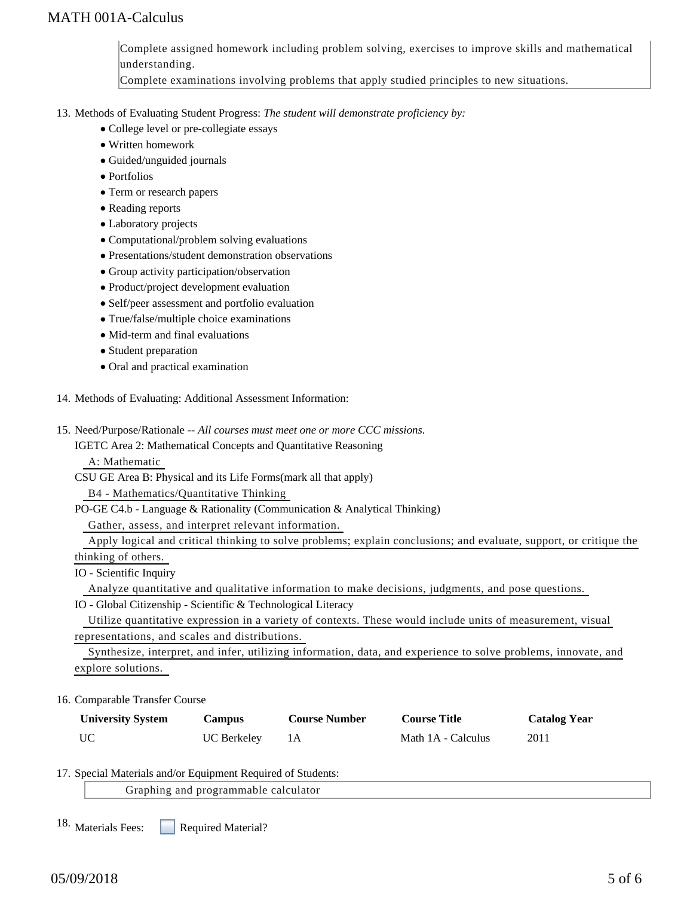Complete assigned homework including problem solving, exercises to improve skills and mathematical understanding.

Complete examinations involving problems that apply studied principles to new situations.

13. Methods of Evaluating Student Progress: The student will demonstrate proficiency by:

- College level or pre-collegiate essays
- Written homework
- Guided/unguided journals
- Portfolios
- Term or research papers
- Reading reports
- Laboratory projects
- Computational/problem solving evaluations
- Presentations/student demonstration observations
- Group activity participation/observation
- Product/project development evaluation
- Self/peer assessment and portfolio evaluation
- True/false/multiple choice examinations
- Mid-term and final evaluations
- Student preparation
- Oral and practical examination
- 14. Methods of Evaluating: Additional Assessment Information:

15. Need/Purpose/Rationale -- All courses must meet one or more CCC missions.

IGETC Area 2: Mathematical Concepts and Quantitative Reasoning

A: Mathematic

CSU GE Area B: Physical and its Life Forms(mark all that apply)

B4 - Mathematics/Quantitative Thinking

PO-GE C4.b - Language & Rationality (Communication & Analytical Thinking)

Gather, assess, and interpret relevant information.

Apply logical and critical thinking to solve problems; explain conclusions; and evaluate, support, or critique the

thinking of others.

IO - Scientific Inquiry

Analyze quantitative and qualitative information to make decisions, judgments, and pose questions.

IO - Global Citizenship - Scientific & Technological Literacy

 Utilize quantitative expression in a variety of contexts. These would include units of measurement, visual representations, and scales and distributions.

 Synthesize, interpret, and infer, utilizing information, data, and experience to solve problems, innovate, and explore solutions.

#### 16. Comparable Transfer Course

| <b>University System</b> | <b>Campus</b> | <b>Course Number</b> | <b>Course Title</b> | <b>Catalog Year</b> |
|--------------------------|---------------|----------------------|---------------------|---------------------|
| UC                       | UC Berkeley   |                      | Math 1A - Calculus  | 2011                |

17. Special Materials and/or Equipment Required of Students:

| Graphing and programmable calculator |  |
|--------------------------------------|--|
|                                      |  |

Required Material? 18. Materials Fees: